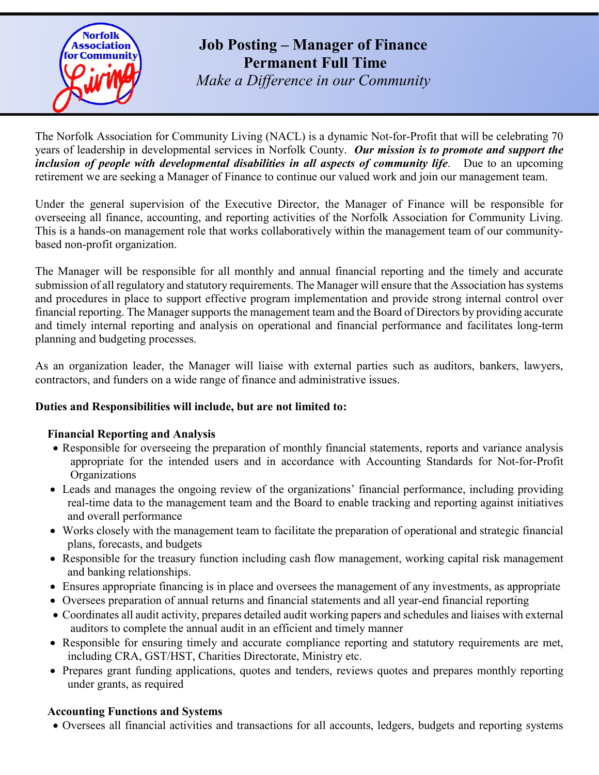

# **Job Posting – Manager of Finance Permanent Full Time**

*Make a Difference in our Community*

The Norfolk Association for Community Living (NACL) is a dynamic Not-for-Profit that will be celebrating 70 years of leadership in developmental services in Norfolk County. *Our mission is to promote and support the inclusion of people with developmental disabilities in all aspects of community life*. Due to an upcoming retirement we are seeking a Manager of Finance to continue our valued work and join our management team.

Under the general supervision of the Executive Director, the Manager of Finance will be responsible for overseeing all finance, accounting, and reporting activities of the Norfolk Association for Community Living. This is a hands-on management role that works collaboratively within the management team of our communitybased non-profit organization.

The Manager will be responsible for all monthly and annual financial reporting and the timely and accurate submission of all regulatory and statutory requirements. The Manager will ensure that the Association has systems and procedures in place to support effective program implementation and provide strong internal control over financial reporting. The Manager supports the management team and the Board of Directors by providing accurate and timely internal reporting and analysis on operational and financial performance and facilitates long-term planning and budgeting processes.

As an organization leader, the Manager will liaise with external parties such as auditors, bankers, lawyers, contractors, and funders on a wide range of finance and administrative issues.

# **Duties and Responsibilities will include, but are not limited to:**

# **Financial Reporting and Analysis**

- Responsible for overseeing the preparation of monthly financial statements, reports and variance analysis appropriate for the intended users and in accordance with Accounting Standards for Not-for-Profit **Organizations**
- Leads and manages the ongoing review of the organizations' financial performance, including providing real-time data to the management team and the Board to enable tracking and reporting against initiatives and overall performance
- Works closely with the management team to facilitate the preparation of operational and strategic financial plans, forecasts, and budgets
- Responsible for the treasury function including cash flow management, working capital risk management and banking relationships.
- Ensures appropriate financing is in place and oversees the management of any investments, as appropriate
- Oversees preparation of annual returns and financial statements and all year-end financial reporting
- Coordinates all audit activity, prepares detailed audit working papers and schedules and liaises with external auditors to complete the annual audit in an efficient and timely manner
- Responsible for ensuring timely and accurate compliance reporting and statutory requirements are met, including CRA, GST/HST, Charities Directorate, Ministry etc.
- Prepares grant funding applications, quotes and tenders, reviews quotes and prepares monthly reporting under grants, as required

## **Accounting Functions and Systems**

• Oversees all financial activities and transactions for all accounts, ledgers, budgets and reporting systems